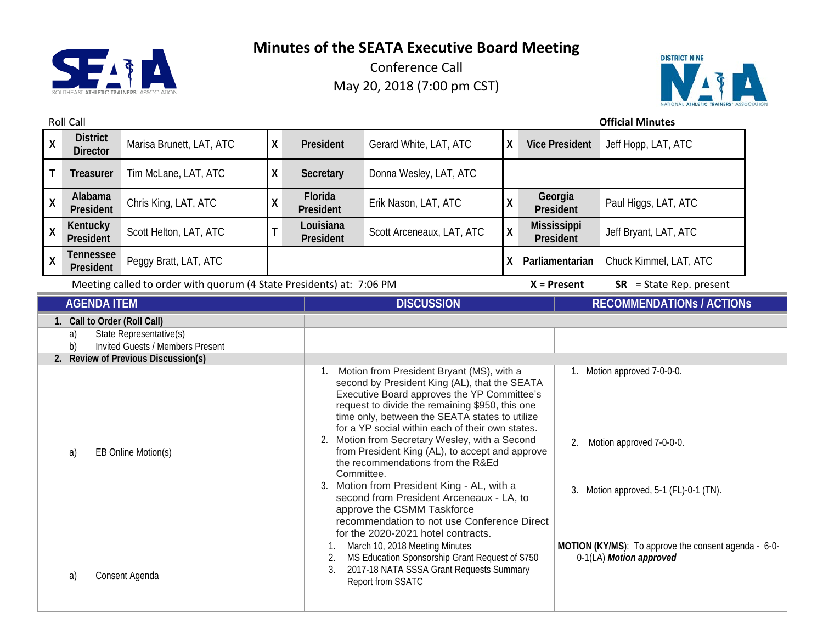



| <b>Roll Call</b>                                                                                                                                                                   |                                    |                                                                      |                            |                                                                                                                                                                                                                                                                                                                                                                                                                                                                                                                                                                                                                                                                         |                           |              |                                                                                                   | <b>Official Minutes</b>          |
|------------------------------------------------------------------------------------------------------------------------------------------------------------------------------------|------------------------------------|----------------------------------------------------------------------|----------------------------|-------------------------------------------------------------------------------------------------------------------------------------------------------------------------------------------------------------------------------------------------------------------------------------------------------------------------------------------------------------------------------------------------------------------------------------------------------------------------------------------------------------------------------------------------------------------------------------------------------------------------------------------------------------------------|---------------------------|--------------|---------------------------------------------------------------------------------------------------|----------------------------------|
| $\pmb{\mathsf{X}}$                                                                                                                                                                 | <b>District</b><br><b>Director</b> | Marisa Brunett, LAT, ATC                                             | χ                          | President                                                                                                                                                                                                                                                                                                                                                                                                                                                                                                                                                                                                                                                               | Gerard White, LAT, ATC    | X            | <b>Vice President</b>                                                                             | Jeff Hopp, LAT, ATC              |
| Τ                                                                                                                                                                                  | <b>Treasurer</b>                   | Tim McLane, LAT, ATC                                                 | Χ                          | Secretary                                                                                                                                                                                                                                                                                                                                                                                                                                                                                                                                                                                                                                                               | Donna Wesley, LAT, ATC    |              |                                                                                                   |                                  |
| $\mathsf{X}$                                                                                                                                                                       | Alabama<br>President               | Chris King, LAT, ATC                                                 | X                          | Florida<br>President                                                                                                                                                                                                                                                                                                                                                                                                                                                                                                                                                                                                                                                    | Erik Nason, LAT, ATC      | Χ            | Georgia<br>President                                                                              | Paul Higgs, LAT, ATC             |
| $\pmb{\mathsf{X}}$                                                                                                                                                                 | Kentucky<br>President              | Scott Helton, LAT, ATC                                               | T                          | Louisiana<br>President                                                                                                                                                                                                                                                                                                                                                                                                                                                                                                                                                                                                                                                  | Scott Arceneaux, LAT, ATC | $\mathsf{X}$ | <b>Mississippi</b><br>President                                                                   | Jeff Bryant, LAT, ATC            |
| $\pmb{\mathsf{X}}$                                                                                                                                                                 | <b>Tennessee</b><br>President      | Peggy Bratt, LAT, ATC                                                |                            |                                                                                                                                                                                                                                                                                                                                                                                                                                                                                                                                                                                                                                                                         |                           | X            | Parliamentarian                                                                                   | Chuck Kimmel, LAT, ATC           |
|                                                                                                                                                                                    |                                    | Meeting called to order with quorum (4 State Presidents) at: 7:06 PM |                            |                                                                                                                                                                                                                                                                                                                                                                                                                                                                                                                                                                                                                                                                         |                           |              | $X =$ Present                                                                                     | $SR = State Rep. present$        |
|                                                                                                                                                                                    | <b>AGENDA ITEM</b>                 |                                                                      |                            |                                                                                                                                                                                                                                                                                                                                                                                                                                                                                                                                                                                                                                                                         | <b>DISCUSSION</b>         |              |                                                                                                   | <b>RECOMMENDATIONS / ACTIONS</b> |
| 1. Call to Order (Roll Call)<br>State Representative(s)<br>a)<br><b>Invited Guests / Members Present</b><br>b)<br>2. Review of Previous Discussion(s)<br>EB Online Motion(s)<br>a) |                                    |                                                                      | 1.                         | Motion from President Bryant (MS), with a<br>second by President King (AL), that the SEATA<br>Executive Board approves the YP Committee's<br>request to divide the remaining \$950, this one<br>time only, between the SEATA states to utilize<br>for a YP social within each of their own states.<br>2. Motion from Secretary Wesley, with a Second<br>from President King (AL), to accept and approve<br>the recommendations from the R&Ed<br>Committee.<br>3. Motion from President King - AL, with a<br>second from President Arceneaux - LA, to<br>approve the CSMM Taskforce<br>recommendation to not use Conference Direct<br>for the 2020-2021 hotel contracts. |                           |              | 1. Motion approved 7-0-0-0.<br>Motion approved 7-0-0-0.<br>3. Motion approved, 5-1 (FL)-0-1 (TN). |                                  |
| Consent Agenda<br>a)                                                                                                                                                               |                                    |                                                                      | $\mathbf{1}$ .<br>2.<br>3. | March 10, 2018 Meeting Minutes<br>MS Education Sponsorship Grant Request of \$750<br>2017-18 NATA SSSA Grant Requests Summary<br>Report from SSATC                                                                                                                                                                                                                                                                                                                                                                                                                                                                                                                      |                           |              | MOTION (KY/MS): To approve the consent agenda - 6-0-<br>0-1(LA) Motion approved                   |                                  |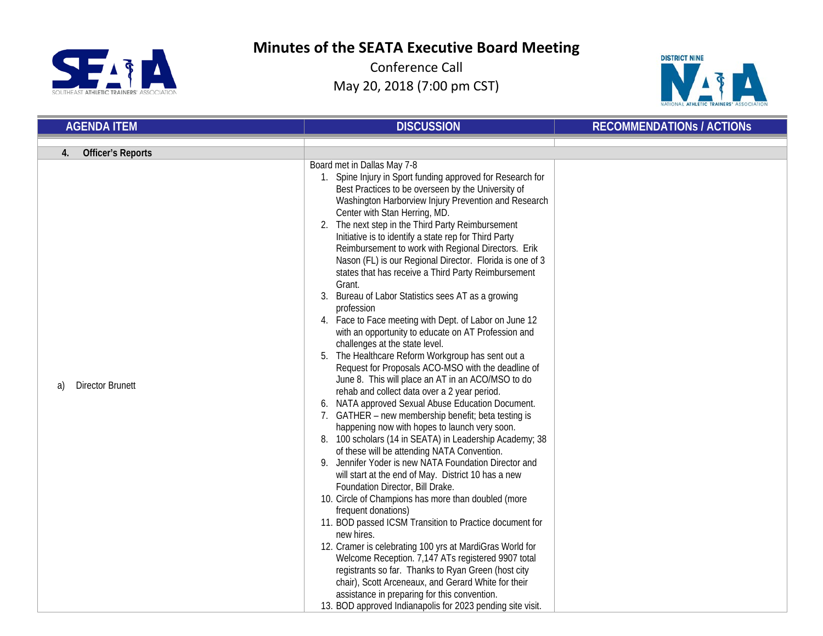



| <b>AGENDA ITEM</b>                                              | <b>DISCUSSION</b>                                                                                                                                                                                                                                                                                                                                                                                                                                                                                                                                                                                                                                                                                                                                                                                                                                                                                                                                                                                                                                                                                                                                                                                                                                                                                                                                                                                                                                                                                                                                                                                                                                                                                                                                                                                                                                      | <b>RECOMMENDATIONS / ACTIONS</b> |
|-----------------------------------------------------------------|--------------------------------------------------------------------------------------------------------------------------------------------------------------------------------------------------------------------------------------------------------------------------------------------------------------------------------------------------------------------------------------------------------------------------------------------------------------------------------------------------------------------------------------------------------------------------------------------------------------------------------------------------------------------------------------------------------------------------------------------------------------------------------------------------------------------------------------------------------------------------------------------------------------------------------------------------------------------------------------------------------------------------------------------------------------------------------------------------------------------------------------------------------------------------------------------------------------------------------------------------------------------------------------------------------------------------------------------------------------------------------------------------------------------------------------------------------------------------------------------------------------------------------------------------------------------------------------------------------------------------------------------------------------------------------------------------------------------------------------------------------------------------------------------------------------------------------------------------------|----------------------------------|
|                                                                 |                                                                                                                                                                                                                                                                                                                                                                                                                                                                                                                                                                                                                                                                                                                                                                                                                                                                                                                                                                                                                                                                                                                                                                                                                                                                                                                                                                                                                                                                                                                                                                                                                                                                                                                                                                                                                                                        |                                  |
| <b>Officer's Reports</b><br>4.<br><b>Director Brunett</b><br>a) | Board met in Dallas May 7-8<br>1. Spine Injury in Sport funding approved for Research for<br>Best Practices to be overseen by the University of<br>Washington Harborview Injury Prevention and Research<br>Center with Stan Herring, MD.<br>2. The next step in the Third Party Reimbursement<br>Initiative is to identify a state rep for Third Party<br>Reimbursement to work with Regional Directors. Erik<br>Nason (FL) is our Regional Director. Florida is one of 3<br>states that has receive a Third Party Reimbursement<br>Grant.<br>Bureau of Labor Statistics sees AT as a growing<br>3.<br>profession<br>4. Face to Face meeting with Dept. of Labor on June 12<br>with an opportunity to educate on AT Profession and<br>challenges at the state level.<br>5. The Healthcare Reform Workgroup has sent out a<br>Request for Proposals ACO-MSO with the deadline of<br>June 8. This will place an AT in an ACO/MSO to do<br>rehab and collect data over a 2 year period.<br>6. NATA approved Sexual Abuse Education Document.<br>7. GATHER – new membership benefit; beta testing is<br>happening now with hopes to launch very soon.<br>8. 100 scholars (14 in SEATA) in Leadership Academy; 38<br>of these will be attending NATA Convention.<br>9. Jennifer Yoder is new NATA Foundation Director and<br>will start at the end of May. District 10 has a new<br>Foundation Director, Bill Drake.<br>10. Circle of Champions has more than doubled (more<br>frequent donations)<br>11. BOD passed ICSM Transition to Practice document for<br>new hires.<br>12. Cramer is celebrating 100 yrs at MardiGras World for<br>Welcome Reception. 7,147 ATs registered 9907 total<br>registrants so far. Thanks to Ryan Green (host city<br>chair), Scott Arceneaux, and Gerard White for their<br>assistance in preparing for this convention. |                                  |
|                                                                 | 13. BOD approved Indianapolis for 2023 pending site visit.                                                                                                                                                                                                                                                                                                                                                                                                                                                                                                                                                                                                                                                                                                                                                                                                                                                                                                                                                                                                                                                                                                                                                                                                                                                                                                                                                                                                                                                                                                                                                                                                                                                                                                                                                                                             |                                  |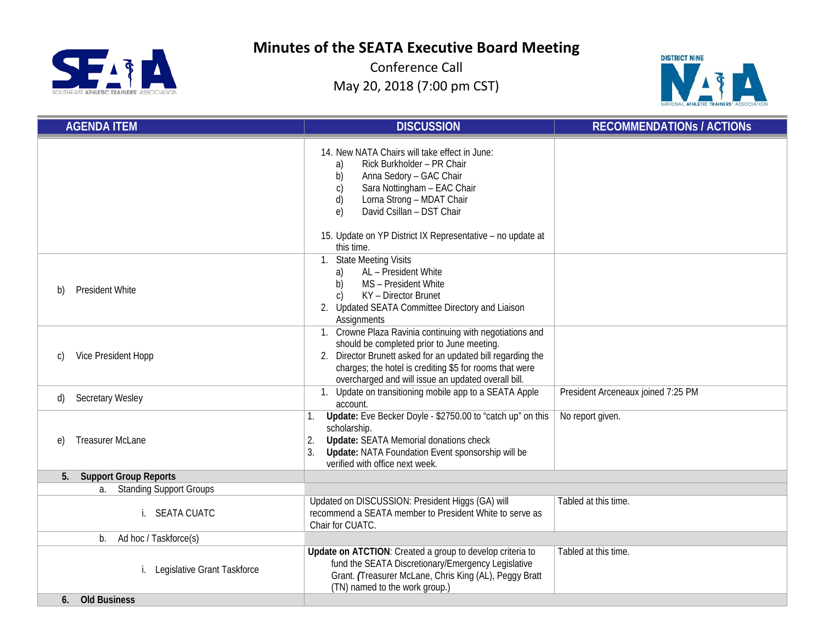SUIHEAST ATHLETIC TRAINERS' ASSOCIATION

**Minutes of the SEATA Executive Board Meeting**



| <b>AGENDA ITEM</b>                    | <b>DISCUSSION</b>                                                                                                                                                                                                                                                                                             | <b>RECOMMENDATIONS / ACTIONS</b>   |
|---------------------------------------|---------------------------------------------------------------------------------------------------------------------------------------------------------------------------------------------------------------------------------------------------------------------------------------------------------------|------------------------------------|
|                                       | 14. New NATA Chairs will take effect in June:<br>Rick Burkholder - PR Chair<br>a)<br>Anna Sedory - GAC Chair<br>b)<br>Sara Nottingham - EAC Chair<br>$\mathsf{C}$<br>d)<br>Lorna Strong - MDAT Chair<br>David Csillan - DST Chair<br>$\epsilon$<br>15. Update on YP District IX Representative - no update at |                                    |
| <b>President White</b><br>b)          | this time.<br>1. State Meeting Visits<br>AL - President White<br>a)<br>MS - President White<br>b)<br>KY - Director Brunet<br>$\mathcal{C}$<br>2. Updated SEATA Committee Directory and Liaison<br>Assignments                                                                                                 |                                    |
| Vice President Hopp<br>C)             | 1. Crowne Plaza Ravinia continuing with negotiations and<br>should be completed prior to June meeting.<br>Director Brunett asked for an updated bill regarding the<br>2.<br>charges; the hotel is crediting \$5 for rooms that were<br>overcharged and will issue an updated overall bill.                    |                                    |
| <b>Secretary Wesley</b><br>d)         | Update on transitioning mobile app to a SEATA Apple<br>account.                                                                                                                                                                                                                                               | President Arceneaux joined 7:25 PM |
| <b>Treasurer McLane</b><br>$\epsilon$ | Update: Eve Becker Doyle - \$2750.00 to "catch up" on this<br>scholarship.<br><b>Update: SEATA Memorial donations check</b><br>2.<br>Update: NATA Foundation Event sponsorship will be<br>3.<br>verified with office next week.                                                                               | No report given.                   |
| <b>Support Group Reports</b><br>5.    |                                                                                                                                                                                                                                                                                                               |                                    |
| <b>Standing Support Groups</b><br>a.  |                                                                                                                                                                                                                                                                                                               |                                    |
| i. SEATA CUATC                        | Updated on DISCUSSION: President Higgs (GA) will<br>recommend a SEATA member to President White to serve as<br>Chair for CUATC.                                                                                                                                                                               | Tabled at this time.               |
| Ad hoc / Taskforce(s)<br>$b_{1}$      |                                                                                                                                                                                                                                                                                                               |                                    |
| Legislative Grant Taskforce           | Update on ATCTION: Created a group to develop criteria to<br>fund the SEATA Discretionary/Emergency Legislative<br>Grant. (Treasurer McLane, Chris King (AL), Peggy Bratt<br>(TN) named to the work group.)                                                                                                   | Tabled at this time.               |
| <b>Old Business</b><br>6.             |                                                                                                                                                                                                                                                                                                               |                                    |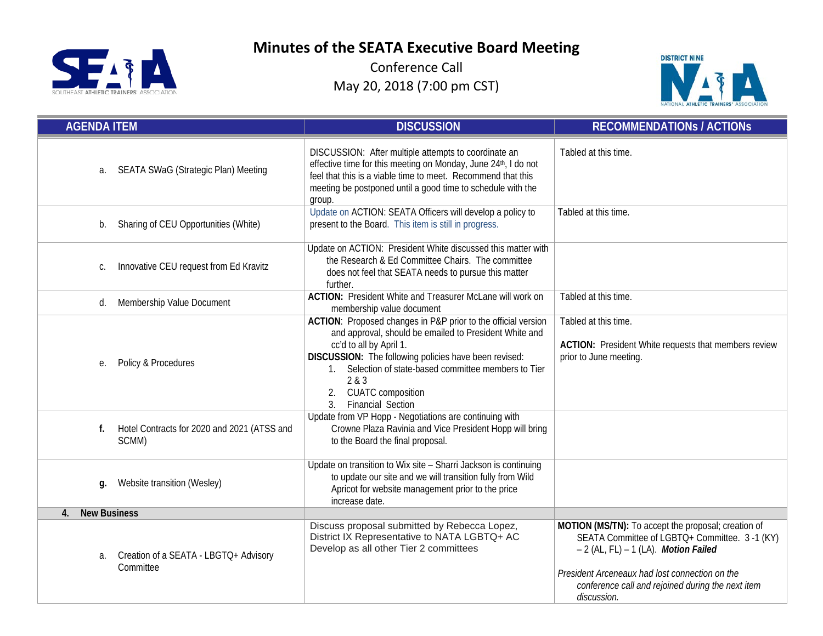



| <b>AGENDA ITEM</b>                                         | <b>DISCUSSION</b>                                                                                                                                                                                                                                                                                                                       | <b>RECOMMENDATIONS / ACTIONS</b>                                                                                                                                                                                                                                     |
|------------------------------------------------------------|-----------------------------------------------------------------------------------------------------------------------------------------------------------------------------------------------------------------------------------------------------------------------------------------------------------------------------------------|----------------------------------------------------------------------------------------------------------------------------------------------------------------------------------------------------------------------------------------------------------------------|
| SEATA SWaG (Strategic Plan) Meeting<br>a.                  | DISCUSSION: After multiple attempts to coordinate an<br>effective time for this meeting on Monday, June 24th, I do not<br>feel that this is a viable time to meet. Recommend that this<br>meeting be postponed until a good time to schedule with the<br>group.                                                                         | Tabled at this time.                                                                                                                                                                                                                                                 |
| Sharing of CEU Opportunities (White)<br>b.                 | Update on ACTION: SEATA Officers will develop a policy to<br>present to the Board. This item is still in progress.                                                                                                                                                                                                                      | Tabled at this time.                                                                                                                                                                                                                                                 |
| Innovative CEU request from Ed Kravitz<br>C.               | Update on ACTION: President White discussed this matter with<br>the Research & Ed Committee Chairs. The committee<br>does not feel that SEATA needs to pursue this matter<br>further.                                                                                                                                                   |                                                                                                                                                                                                                                                                      |
| Membership Value Document<br>d.                            | <b>ACTION: President White and Treasurer McLane will work on</b><br>membership value document                                                                                                                                                                                                                                           | Tabled at this time.                                                                                                                                                                                                                                                 |
| Policy & Procedures<br>е.                                  | ACTION: Proposed changes in P&P prior to the official version<br>and approval, should be emailed to President White and<br>cc'd to all by April 1.<br>DISCUSSION: The following policies have been revised:<br>1. Selection of state-based committee members to Tier<br>2 & 3<br>2. CUATC composition<br><b>Financial Section</b><br>3. | Tabled at this time.<br>ACTION: President White requests that members review<br>prior to June meeting.                                                                                                                                                               |
| Hotel Contracts for 2020 and 2021 (ATSS and<br>f.<br>SCMM) | Update from VP Hopp - Negotiations are continuing with<br>Crowne Plaza Ravinia and Vice President Hopp will bring<br>to the Board the final proposal.                                                                                                                                                                                   |                                                                                                                                                                                                                                                                      |
| Website transition (Wesley)<br>q.                          | Update on transition to Wix site - Sharri Jackson is continuing<br>to update our site and we will transition fully from Wild<br>Apricot for website management prior to the price<br>increase date.                                                                                                                                     |                                                                                                                                                                                                                                                                      |
| <b>New Business</b><br>4.                                  |                                                                                                                                                                                                                                                                                                                                         |                                                                                                                                                                                                                                                                      |
| Creation of a SEATA - LBGTQ+ Advisory<br>a.<br>Committee   | Discuss proposal submitted by Rebecca Lopez,<br>District IX Representative to NATA LGBTQ+ AC<br>Develop as all other Tier 2 committees                                                                                                                                                                                                  | MOTION (MS/TN): To accept the proposal; creation of<br>SEATA Committee of LGBTQ+ Committee. 3-1 (KY)<br>$-2$ (AL, FL) $-1$ (LA). Motion Failed<br>President Arceneaux had lost connection on the<br>conference call and rejoined during the next item<br>discussion. |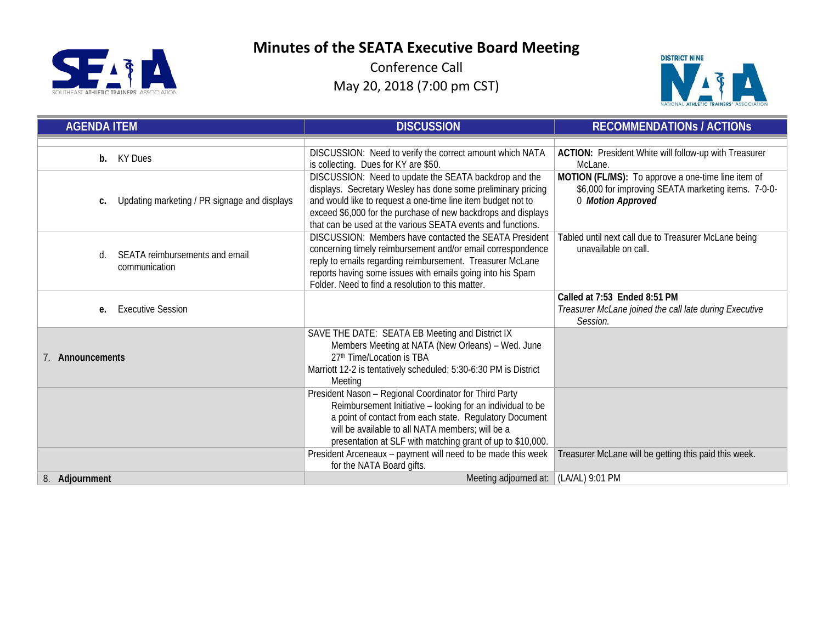



| <b>AGENDA ITEM</b>                                    | <b>DISCUSSION</b>                                                                                                                                                                                                                                                                                                     | <b>RECOMMENDATIONS / ACTIONS</b>                                                                                               |
|-------------------------------------------------------|-----------------------------------------------------------------------------------------------------------------------------------------------------------------------------------------------------------------------------------------------------------------------------------------------------------------------|--------------------------------------------------------------------------------------------------------------------------------|
|                                                       |                                                                                                                                                                                                                                                                                                                       |                                                                                                                                |
| KY Dues<br>b.                                         | DISCUSSION: Need to verify the correct amount which NATA<br>is collecting. Dues for KY are \$50.                                                                                                                                                                                                                      | ACTION: President White will follow-up with Treasurer<br>McLane.                                                               |
| Updating marketing / PR signage and displays<br>c.    | DISCUSSION: Need to update the SEATA backdrop and the<br>displays. Secretary Wesley has done some preliminary pricing<br>and would like to request a one-time line item budget not to<br>exceed \$6,000 for the purchase of new backdrops and displays<br>that can be used at the various SEATA events and functions. | MOTION (FL/MS): To approve a one-time line item of<br>\$6,000 for improving SEATA marketing items. 7-0-0-<br>0 Motion Approved |
| SEATA reimbursements and email<br>d.<br>communication | DISCUSSION: Members have contacted the SEATA President<br>concerning timely reimbursement and/or email correspondence<br>reply to emails regarding reimbursement. Treasurer McLane<br>reports having some issues with emails going into his Spam<br>Folder. Need to find a resolution to this matter.                 | Tabled until next call due to Treasurer McLane being<br>unavailable on call.                                                   |
| <b>Executive Session</b><br>e.                        |                                                                                                                                                                                                                                                                                                                       | Called at 7:53 Ended 8:51 PM<br>Treasurer McLane joined the call late during Executive<br>Session.                             |
| 7. Announcements                                      | SAVE THE DATE: SEATA EB Meeting and District IX<br>Members Meeting at NATA (New Orleans) - Wed. June<br>27th Time/Location is TBA<br>Marriott 12-2 is tentatively scheduled; 5:30-6:30 PM is District<br>Meeting                                                                                                      |                                                                                                                                |
|                                                       | President Nason - Regional Coordinator for Third Party<br>Reimbursement Initiative - looking for an individual to be<br>a point of contact from each state. Regulatory Document<br>will be available to all NATA members; will be a<br>presentation at SLF with matching grant of up to \$10,000.                     |                                                                                                                                |
|                                                       | President Arceneaux - payment will need to be made this week<br>for the NATA Board gifts.                                                                                                                                                                                                                             | Treasurer McLane will be getting this paid this week.                                                                          |
| 8. Adjournment                                        | Meeting adjourned at: (LA/AL) 9:01 PM                                                                                                                                                                                                                                                                                 |                                                                                                                                |